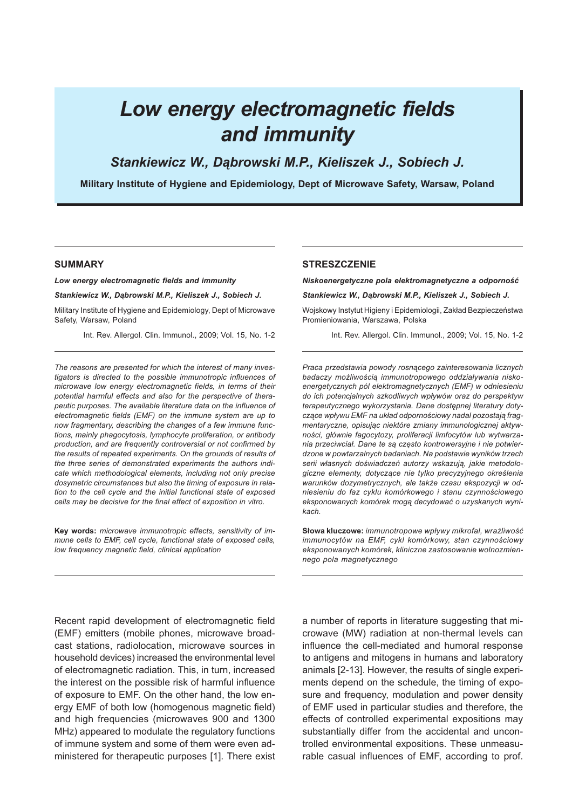# Low energy electromagnetic fields and immunity

Stankiewicz W., Dąbrowski M.P., Kieliszek J., Sobiech J.

Military Institute of Hygiene and Epidemiology, Dept of Microwave Safety, Warsaw, Poland

#### SUMMARY

Low energy electromagnetic fields and immunity

Stankiewicz W., Dąbrowski M.P., Kieliszek J., Sobiech J.

Military Institute of Hygiene and Epidemiology, Dept of Microwave Safety, Warsaw, Poland

Int. Rev. Allergol. Clin. Immunol., 2009; Vol. 15, No. 1-2

The reasons are presented for which the interest of many investigators is directed to the possible immunotropic influences of microwave low energy electromagnetic fields, in terms of their potential harmful effects and also for the perspective of therapeutic purposes. The available literature data on the influence of electromagnetic fields (EMF) on the immune system are up to now fragmentary, describing the changes of a few immune functions, mainly phagocytosis, lymphocyte proliferation, or antibody production, and are frequently controversial or not confirmed by the results of repeated experiments. On the grounds of results of the three series of demonstrated experiments the authors indicate which methodological elements, including not only precise dosymetric circumstances but also the timing of exposure in relation to the cell cycle and the initial functional state of exposed cells may be decisive for the final effect of exposition in vitro.

Key words: microwave immunotropic effects, sensitivity of immune cells to EMF, cell cycle, functional state of exposed cells, low frequency magnetic field, clinical application

#### **STRESZCZENIE**

Niskoenergetyczne pola elektromagnetyczne a odporność

Stankiewicz W., Dąbrowski M.P., Kieliszek J., Sobiech J.

Wojskowy Instytut Higieny i Epidemiologii, Zakład Bezpieczeństwa Promieniowania, Warszawa, Polska

Int. Rev. Allergol. Clin. Immunol., 2009; Vol. 15, No. 1-2

Praca przedstawia powody rosnącego zainteresowania licznych badaczy możliwością immunotropowego oddziaływania niskoenergetycznych pól elektromagnetycznych (EMF) w odniesieniu do ich potencjalnych szkodliwych wpływów oraz do perspektyw terapeutycznego wykorzystania. Dane dostępnej literatury dotyczące wpływu EMF na układ odpornościowy nadal pozostają fragmentaryczne, opisując niektóre zmiany immunologicznej aktywności, głównie fagocytozy, proliferacji limfocytów lub wytwarzania przeciwciał. Dane te są często kontrowersyjne i nie potwierdzone w powtarzalnych badaniach. Na podstawie wyników trzech serii własnych doświadczeń autorzy wskazują, jakie metodologiczne elementy, dotyczące nie tylko precyzyjnego określenia warunków dozymetrycznych, ale także czasu ekspozycji w odniesieniu do faz cyklu komórkowego i stanu czynnościowego eksponowanych komórek mogą decydować o uzyskanych wynikach.

Słowa kluczowe: immunotropowe wpływy mikrofal, wrażliwość immunocytów na EMF, cykl komórkowy, stan czynnościowy eksponowanych komórek, kliniczne zastosowanie wolnozmiennego pola magnetycznego

Recent rapid development of electromagnetic field (EMF) emitters (mobile phones, microwave broadcast stations, radiolocation, microwave sources in household devices) increased the environmental level of electromagnetic radiation. This, in turn, increased the interest on the possible risk of harmful influence of exposure to EMF. On the other hand, the low energy EMF of both low (homogenous magnetic field) and high frequencies (microwaves 900 and 1300 MHz) appeared to modulate the regulatory functions of immune system and some of them were even administered for therapeutic purposes [1]. There exist a number of reports in literature suggesting that microwave (MW) radiation at non-thermal levels can influence the cell-mediated and humoral response to antigens and mitogens in humans and laboratory animals [2-13]. However, the results of single experiments depend on the schedule, the timing of exposure and frequency, modulation and power density of EMF used in particular studies and therefore, the effects of controlled experimental expositions may substantially differ from the accidental and uncontrolled environmental expositions. These unmeasurable casual influences of EMF, according to prof.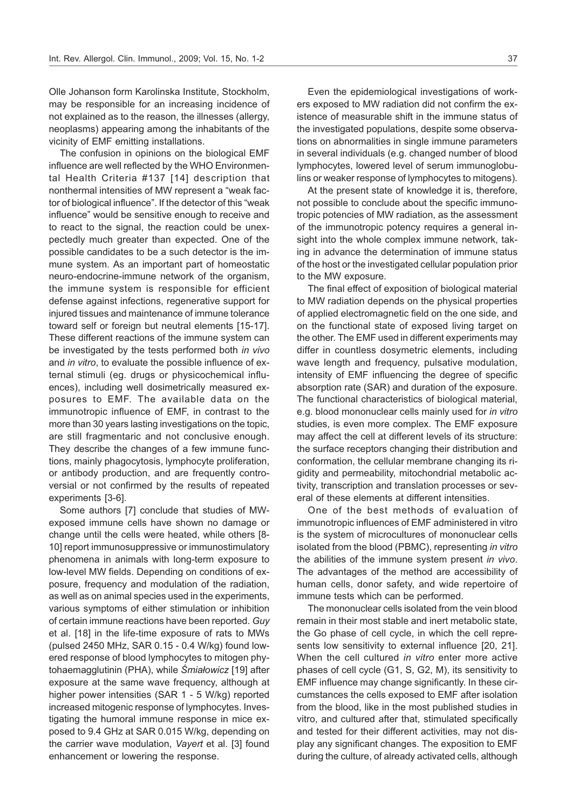Olle Johanson form Karolinska Institute, Stockholm, may be responsible for an increasing incidence of not explained as to the reason, the illnesses (allergy, neoplasms) appearing among the inhabitants of the vicinity of EMF emitting installations.

The confusion in opinions on the biological EMF influence are well reflected by the WHO Environmental Health Criteria #137 [14] description that nonthermal intensities of MW represent a "weak factor of biological influence". If the detector of this "weak influence" would be sensitive enough to receive and to react to the signal, the reaction could be unexpectedly much greater than expected. One of the possible candidates to be a such detector is the immune system. As an important part of homeostatic neuro-endocrine-immune network of the organism, the immune system is responsible for efficient defense against infections, regenerative support for injured tissues and maintenance of immune tolerance toward self or foreign but neutral elements [15-17]. These different reactions of the immune system can be investigated by the tests performed both in vivo and in vitro, to evaluate the possible influence of external stimuli (eg. drugs or physicochemical influences), including well dosimetrically measured exposures to EMF. The available data on the immunotropic influence of EMF, in contrast to the more than 30 years lasting investigations on the topic, are still fragmentaric and not conclusive enough. They describe the changes of a few immune functions, mainly phagocytosis, lymphocyte proliferation, or antibody production, and are frequently controversial or not confirmed by the results of repeated experiments [3-6].

Some authors [7] conclude that studies of MWexposed immune cells have shown no damage or change until the cells were heated, while others [8- 10] report immunosuppressive or immunostimulatory phenomena in animals with long-term exposure to low-level MW fields. Depending on conditions of exposure, frequency and modulation of the radiation, as well as on animal species used in the experiments, various symptoms of either stimulation or inhibition of certain immune reactions have been reported. Guy et al. [18] in the life-time exposure of rats to MWs (pulsed 2450 MHz, SAR 0.15 - 0.4 W/kg) found lowered response of blood lymphocytes to mitogen phytohaemagglutinin (PHA), while Śmiałowicz [19] after exposure at the same wave frequency, although at higher power intensities (SAR 1 - 5 W/kg) reported increased mitogenic response of lymphocytes. Investigating the humoral immune response in mice exposed to 9.4 GHz at SAR 0.015 W/kg, depending on the carrier wave modulation, Vayert et al. [3] found enhancement or lowering the response.

Even the epidemiological investigations of workers exposed to MW radiation did not confirm the existence of measurable shift in the immune status of the investigated populations, despite some observations on abnormalities in single immune parameters in several individuals (e.g. changed number of blood lymphocytes, lowered level of serum immunoglobulins or weaker response of lymphocytes to mitogens).

At the present state of knowledge it is, therefore, not possible to conclude about the specific immunotropic potencies of MW radiation, as the assessment of the immunotropic potency requires a general insight into the whole complex immune network, taking in advance the determination of immune status of the host or the investigated cellular population prior to the MW exposure.

The final effect of exposition of biological material to MW radiation depends on the physical properties of applied electromagnetic field on the one side, and on the functional state of exposed living target on the other. The EMF used in different experiments may differ in countless dosymetric elements, including wave length and frequency, pulsative modulation, intensity of EMF influencing the degree of specific absorption rate (SAR) and duration of the exposure. The functional characteristics of biological material, e.g. blood mononuclear cells mainly used for in vitro studies, is even more complex. The EMF exposure may affect the cell at different levels of its structure: the surface receptors changing their distribution and conformation, the cellular membrane changing its rigidity and permeability, mitochondrial metabolic activity, transcription and translation processes or several of these elements at different intensities.

One of the best methods of evaluation of immunotropic influences of EMF administered in vitro is the system of microcultures of mononuclear cells isolated from the blood (PBMC), representing in vitro the abilities of the immune system present in vivo. The advantages of the method are accessibility of human cells, donor safety, and wide repertoire of immune tests which can be performed.

The mononuclear cells isolated from the vein blood remain in their most stable and inert metabolic state, the Go phase of cell cycle, in which the cell represents low sensitivity to external influence [20, 21]. When the cell cultured *in vitro* enter more active phases of cell cycle (G1, S, G2, M), its sensitivity to EMF influence may change significantly. In these circumstances the cells exposed to EMF after isolation from the blood, like in the most published studies in vitro, and cultured after that, stimulated specifically and tested for their different activities, may not display any significant changes. The exposition to EMF during the culture, of already activated cells, although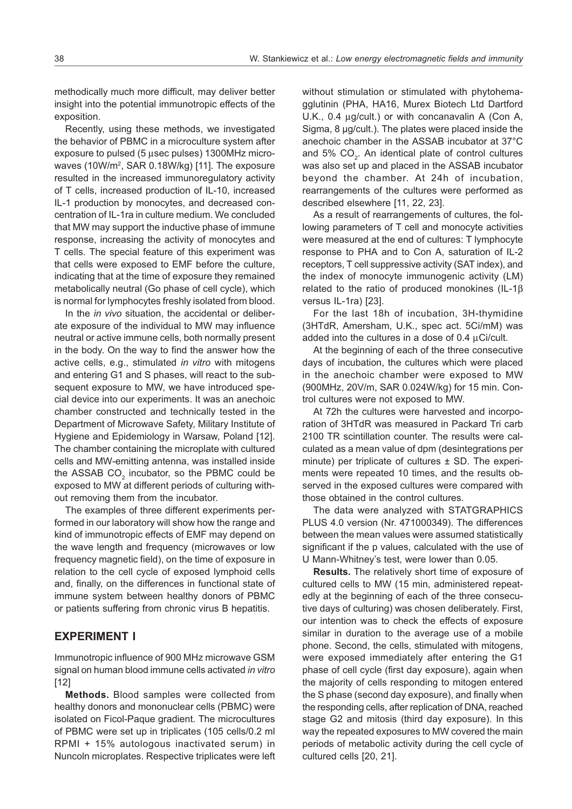methodically much more difficult, may deliver better insight into the potential immunotropic effects of the exposition.

Recently, using these methods, we investigated the behavior of PBMC in a microculture system after exposure to pulsed ( $5 \mu$ sec pulses) 1300MHz microwaves (10W/m<sup>2</sup>, SAR 0.18W/kg) [11]. The exposure resulted in the increased immunoregulatory activity of T cells, increased production of IL-10, increased IL-1 production by monocytes, and decreased concentration of IL-1ra in culture medium. We concluded that MW may support the inductive phase of immune response, increasing the activity of monocytes and T cells. The special feature of this experiment was that cells were exposed to EMF before the culture, indicating that at the time of exposure they remained metabolically neutral (Go phase of cell cycle), which is normal for lymphocytes freshly isolated from blood.

In the in vivo situation, the accidental or deliberate exposure of the individual to MW may influence neutral or active immune cells, both normally present in the body. On the way to find the answer how the active cells, e.g., stimulated in vitro with mitogens and entering G1 and S phases, will react to the subsequent exposure to MW, we have introduced special device into our experiments. It was an anechoic chamber constructed and technically tested in the Department of Microwave Safety, Military Institute of Hygiene and Epidemiology in Warsaw, Poland [12]. The chamber containing the microplate with cultured cells and MW-emitting antenna, was installed inside the ASSAB CO<sub>2</sub> incubator, so the PBMC could be exposed to MW at different periods of culturing without removing them from the incubator.

The examples of three different experiments performed in our laboratory will show how the range and kind of immunotropic effects of EMF may depend on the wave length and frequency (microwaves or low frequency magnetic field), on the time of exposure in relation to the cell cycle of exposed lymphoid cells and, finally, on the differences in functional state of immune system between healthy donors of PBMC or patients suffering from chronic virus B hepatitis.

# EXPERIMENT I

Immunotropic influence of 900 MHz microwave GSM signal on human blood immune cells activated in vitro [12]

Methods. Blood samples were collected from healthy donors and mononuclear cells (PBMC) were isolated on Ficol-Paque gradient. The microcultures of PBMC were set up in triplicates (105 cells/0.2 ml RPMI + 15% autologous inactivated serum) in Nuncoln microplates. Respective triplicates were left without stimulation or stimulated with phytohemagglutinin (PHA, HA16, Murex Biotech Ltd Dartford U.K., 0.4  $\mu$ g/cult.) or with concanavalin A (Con A, Sigma, 8 µg/cult.). The plates were placed inside the anechoic chamber in the ASSAB incubator at 37°C and 5%  $CO_{2}$ . An identical plate of control cultures was also set up and placed in the ASSAB incubator beyond the chamber. At 24h of incubation, rearrangements of the cultures were performed as described elsewhere [11, 22, 23].

As a result of rearrangements of cultures, the following parameters of T cell and monocyte activities were measured at the end of cultures: T lymphocyte response to PHA and to Con A, saturation of IL-2 receptors, T cell suppressive activity (SAT index), and the index of monocyte immunogenic activity (LM) related to the ratio of produced monokines (IL-1 $\beta$ versus IL-1ra) [23].

For the last 18h of incubation, 3H-thymidine (3HTdR, Amersham, U.K., spec act. 5Ci/mM) was added into the cultures in a dose of  $0.4 \mu$ Ci/cult.

At the beginning of each of the three consecutive days of incubation, the cultures which were placed in the anechoic chamber were exposed to MW (900MHz, 20V/m, SAR 0.024W/kg) for 15 min. Control cultures were not exposed to MW.

At 72h the cultures were harvested and incorporation of 3HTdR was measured in Packard Tri carb 2100 TR scintillation counter. The results were calculated as a mean value of dpm (desintegrations per minute) per triplicate of cultures ± SD. The experiments were repeated 10 times, and the results observed in the exposed cultures were compared with those obtained in the control cultures.

The data were analyzed with STATGRAPHICS PLUS 4.0 version (Nr. 471000349). The differences between the mean values were assumed statistically significant if the p values, calculated with the use of U Mann-Whitney's test, were lower than 0.05.

Results. The relatively short time of exposure of cultured cells to MW (15 min, administered repeatedly at the beginning of each of the three consecutive days of culturing) was chosen deliberately. First, our intention was to check the effects of exposure similar in duration to the average use of a mobile phone. Second, the cells, stimulated with mitogens, were exposed immediately after entering the G1 phase of cell cycle (first day exposure), again when the majority of cells responding to mitogen entered the S phase (second day exposure), and finally when the responding cells, after replication of DNA, reached stage G2 and mitosis (third day exposure). In this way the repeated exposures to MW covered the main periods of metabolic activity during the cell cycle of cultured cells [20, 21].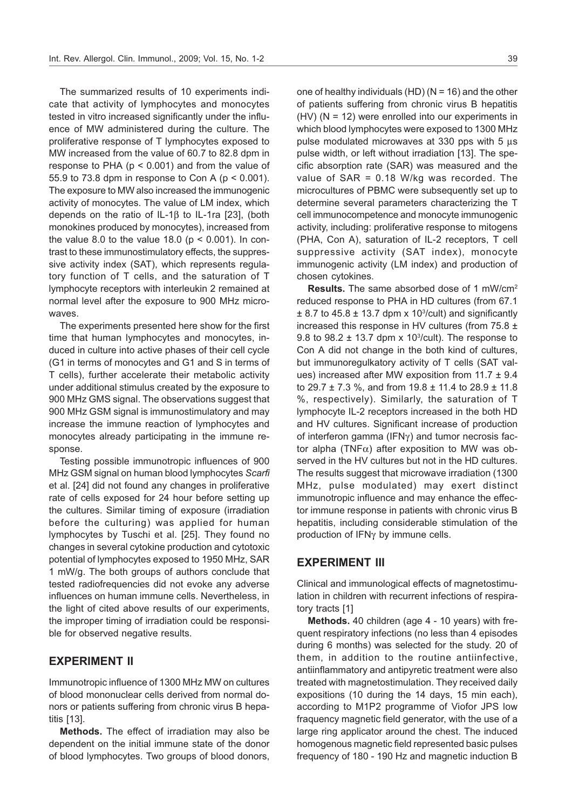The summarized results of 10 experiments indicate that activity of lymphocytes and monocytes tested in vitro increased significantly under the influence of MW administered during the culture. The proliferative response of T lymphocytes exposed to MW increased from the value of 60.7 to 82.8 dpm in response to PHA ( $p < 0.001$ ) and from the value of 55.9 to 73.8 dpm in response to Con A (p < 0.001). The exposure to MW also increased the immunogenic activity of monocytes. The value of LM index, which depends on the ratio of IL-1 $\beta$  to IL-1ra [23], (both monokines produced by monocytes), increased from the value 8.0 to the value 18.0 ( $p < 0.001$ ). In contrast to these immunostimulatory effects, the suppressive activity index (SAT), which represents regulatory function of T cells, and the saturation of T lymphocyte receptors with interleukin 2 remained at normal level after the exposure to 900 MHz microwaves.

The experiments presented here show for the first time that human lymphocytes and monocytes, induced in culture into active phases of their cell cycle (G1 in terms of monocytes and G1 and S in terms of T cells), further accelerate their metabolic activity under additional stimulus created by the exposure to 900 MHz GMS signal. The observations suggest that 900 MHz GSM signal is immunostimulatory and may increase the immune reaction of lymphocytes and monocytes already participating in the immune response.

Testing possible immunotropic influences of 900 MHz GSM signal on human blood lymphocytes Scarfi et al. [24] did not found any changes in proliferative rate of cells exposed for 24 hour before setting up the cultures. Similar timing of exposure (irradiation before the culturing) was applied for human lymphocytes by Tuschi et al. [25]. They found no changes in several cytokine production and cytotoxic potential of lymphocytes exposed to 1950 MHz, SAR 1 mW/g. The both groups of authors conclude that tested radiofrequencies did not evoke any adverse influences on human immune cells. Nevertheless, in the light of cited above results of our experiments, the improper timing of irradiation could be responsible for observed negative results.

# EXPERIMENT II

Immunotropic influence of 1300 MHz MW on cultures of blood mononuclear cells derived from normal donors or patients suffering from chronic virus B hepatitis [13].

Methods. The effect of irradiation may also be dependent on the initial immune state of the donor of blood lymphocytes. Two groups of blood donors, one of healthy individuals (HD) ( $N = 16$ ) and the other of patients suffering from chronic virus B hepatitis (HV) (N = 12) were enrolled into our experiments in which blood lymphocytes were exposed to 1300 MHz pulse modulated microwaves at 330 pps with  $5 \mu s$ pulse width, or left without irradiation [13]. The specific absorption rate (SAR) was measured and the value of SAR = 0.18 W/kg was recorded. The microcultures of PBMC were subsequently set up to determine several parameters characterizing the T cell immunocompetence and monocyte immunogenic activity, including: proliferative response to mitogens (PHA, Con A), saturation of IL-2 receptors, T cell suppressive activity (SAT index), monocyte immunogenic activity (LM index) and production of chosen cytokines.

Results. The same absorbed dose of 1 mW/cm<sup>2</sup> reduced response to PHA in HD cultures (from 67.1 ± 8.7 to 45.8 ± 13.7 dpm x 10<sup>3</sup> /cult) and significantly increased this response in HV cultures (from 75.8 ± 9.8 to  $98.2 \pm 13.7$  dpm x 10<sup>3</sup>/cult). The response to Con A did not change in the both kind of cultures, but immunoregulkatory activity of T cells (SAT values) increased after MW exposition from 11.7 ± 9.4 to 29.7 ± 7.3 %, and from 19.8 ± 11.4 to 28.9 ± 11.8 %, respectively). Similarly, the saturation of T lymphocyte IL-2 receptors increased in the both HD and HV cultures. Significant increase of production of interferon gamma (IFN $\gamma$ ) and tumor necrosis factor alpha (TNF $\alpha$ ) after exposition to MW was observed in the HV cultures but not in the HD cultures. The results suggest that microwave irradiation (1300 MHz, pulse modulated) may exert distinct immunotropic influence and may enhance the effector immune response in patients with chronic virus B hepatitis, including considerable stimulation of the production of  $IFN<sub>Y</sub>$  by immune cells.

#### EXPERIMENT III

Clinical and immunological effects of magnetostimulation in children with recurrent infections of respiratory tracts [1]

Methods. 40 children (age 4 - 10 years) with frequent respiratory infections (no less than 4 episodes during 6 months) was selected for the study. 20 of them, in addition to the routine antiinfective, antiinflammatory and antipyretic treatment were also treated with magnetostimulation. They received daily expositions (10 during the 14 days, 15 min each), according to M1P2 programme of Viofor JPS low fraquency magnetic field generator, with the use of a large ring applicator around the chest. The induced homogenous magnetic field represented basic pulses frequency of 180 - 190 Hz and magnetic induction B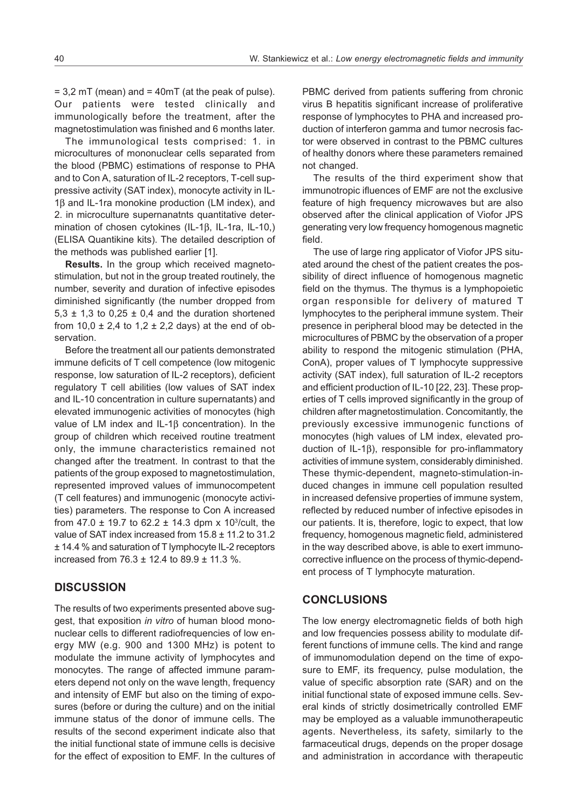$= 3.2$  mT (mean) and  $= 40$ mT (at the peak of pulse). Our patients were tested clinically and immunologically before the treatment, after the magnetostimulation was finished and 6 months later.

The immunological tests comprised: 1. in microcultures of mononuclear cells separated from the blood (PBMC) estimations of response to PHA and to Con A, saturation of IL-2 receptors, T-cell suppressive activity (SAT index), monocyte activity in IL- $1\beta$  and IL-1ra monokine production (LM index), and 2. in microculture supernanatnts quantitative determination of chosen cytokines  $(IL-1\beta, IL-1ra, IL-10,)$ (ELISA Quantikine kits). The detailed description of the methods was published earlier [1].

Results. In the group which received magnetostimulation, but not in the group treated routinely, the number, severity and duration of infective episodes diminished significantly (the number dropped from 5,3  $\pm$  1,3 to 0,25  $\pm$  0,4 and the duration shortened from  $10,0 \pm 2,4$  to  $1,2 \pm 2,2$  days) at the end of observation.

Before the treatment all our patients demonstrated immune deficits of T cell competence (low mitogenic response, low saturation of IL-2 receptors), deficient regulatory T cell abilities (low values of SAT index and IL-10 concentration in culture supernatants) and elevated immunogenic activities of monocytes (high value of LM index and  $IL-1\beta$  concentration). In the group of children which received routine treatment only, the immune characteristics remained not changed after the treatment. In contrast to that the patients of the group exposed to magnetostimulation, represented improved values of immunocompetent (T cell features) and immunogenic (monocyte activities) parameters. The response to Con A increased from 47.0  $\pm$  19.7 to 62.2  $\pm$  14.3 dpm x 10<sup>3</sup>/cult, the value of SAT index increased from 15.8 ± 11.2 to 31.2 ± 14.4 % and saturation of T lymphocyte IL-2 receptors increased from 76.3 ± 12.4 to 89.9 ± 11.3 %.

# **DISCUSSION**

The results of two experiments presented above suggest, that exposition in vitro of human blood mononuclear cells to different radiofrequencies of low energy MW (e.g. 900 and 1300 MHz) is potent to modulate the immune activity of lymphocytes and monocytes. The range of affected immune parameters depend not only on the wave length, frequency and intensity of EMF but also on the timing of exposures (before or during the culture) and on the initial immune status of the donor of immune cells. The results of the second experiment indicate also that the initial functional state of immune cells is decisive for the effect of exposition to EMF. In the cultures of PBMC derived from patients suffering from chronic virus B hepatitis significant increase of proliferative response of lymphocytes to PHA and increased production of interferon gamma and tumor necrosis factor were observed in contrast to the PBMC cultures of healthy donors where these parameters remained not changed.

The results of the third experiment show that immunotropic ifluences of EMF are not the exclusive feature of high frequency microwaves but are also observed after the clinical application of Viofor JPS generating very low frequency homogenous magnetic field.

The use of large ring applicator of Viofor JPS situated around the chest of the patient creates the possibility of direct influence of homogenous magnetic field on the thymus. The thymus is a lymphopoietic organ responsible for delivery of matured T lymphocytes to the peripheral immune system. Their presence in peripheral blood may be detected in the microcultures of PBMC by the observation of a proper ability to respond the mitogenic stimulation (PHA, ConA), proper values of T lymphocyte suppressive activity (SAT index), full saturation of IL-2 receptors and efficient production of IL-10 [22, 23]. These properties of T cells improved significantly in the group of children after magnetostimulation. Concomitantly, the previously excessive immunogenic functions of monocytes (high values of LM index, elevated production of IL-1 $\beta$ ), responsible for pro-inflammatory activities of immune system, considerably diminished. These thymic-dependent, magneto-stimulation-induced changes in immune cell population resulted in increased defensive properties of immune system, reflected by reduced number of infective episodes in our patients. It is, therefore, logic to expect, that low frequency, homogenous magnetic field, administered in the way described above, is able to exert immunocorrective influence on the process of thymic-dependent process of T lymphocyte maturation.

#### CONCLUSIONS

The low energy electromagnetic fields of both high and low frequencies possess ability to modulate different functions of immune cells. The kind and range of immunomodulation depend on the time of exposure to EMF, its frequency, pulse modulation, the value of specific absorption rate (SAR) and on the initial functional state of exposed immune cells. Several kinds of strictly dosimetrically controlled EMF may be employed as a valuable immunotherapeutic agents. Nevertheless, its safety, similarly to the farmaceutical drugs, depends on the proper dosage and administration in accordance with therapeutic